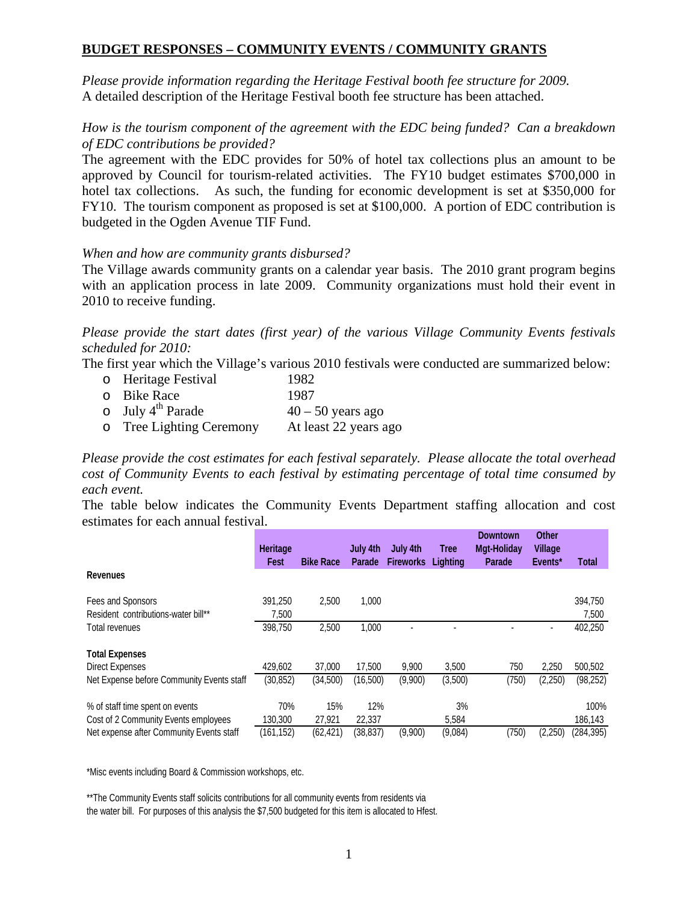# **BUDGET RESPONSES – COMMUNITY EVENTS / COMMUNITY GRANTS**

*Please provide information regarding the Heritage Festival booth fee structure for 2009.*  A detailed description of the Heritage Festival booth fee structure has been attached.

# *How is the tourism component of the agreement with the EDC being funded? Can a breakdown of EDC contributions be provided?*

The agreement with the EDC provides for 50% of hotel tax collections plus an amount to be approved by Council for tourism-related activities. The FY10 budget estimates \$700,000 in hotel tax collections. As such, the funding for economic development is set at \$350,000 for FY10. The tourism component as proposed is set at \$100,000. A portion of EDC contribution is budgeted in the Ogden Avenue TIF Fund.

#### *When and how are community grants disbursed?*

The Village awards community grants on a calendar year basis. The 2010 grant program begins with an application process in late 2009. Community organizations must hold their event in 2010 to receive funding.

*Please provide the start dates (first year) of the various Village Community Events festivals scheduled for 2010:* 

The first year which the Village's various 2010 festivals were conducted are summarized below:

- o Heritage Festival 1982
- o Bike Race 1987
- o July  $4^{th}$  Parade  $40 50$  years ago<br>
o Tree Lighting Ceremony At least 22 years ago
- o Tree Lighting Ceremony

*Please provide the cost estimates for each festival separately. Please allocate the total overhead cost of Community Events to each festival by estimating percentage of total time consumed by each event.* 

The table below indicates the Community Events Department staffing allocation and cost estimates for each annual festival.

|                                           | <b>Heritage</b><br>Fest | <b>Bike Race</b> | July 4th<br>Parade | July 4th<br><b>Fireworks</b> | <b>Tree</b><br>Lighting | Downtown<br><b>Mgt-Holiday</b><br>Parade | Other<br><b>Village</b><br>Events* | Total      |
|-------------------------------------------|-------------------------|------------------|--------------------|------------------------------|-------------------------|------------------------------------------|------------------------------------|------------|
| <b>Revenues</b>                           |                         |                  |                    |                              |                         |                                          |                                    |            |
| Fees and Sponsors                         | 391,250                 | 2,500            | 1,000              |                              |                         |                                          |                                    | 394,750    |
| Resident contributions-water bill**       | 7,500                   |                  |                    |                              |                         |                                          |                                    | 7,500      |
| Total revenues                            | 398,750                 | 2,500            | 1,000              |                              |                         |                                          | ٠                                  | 402,250    |
| <b>Total Expenses</b>                     |                         |                  |                    |                              |                         |                                          |                                    |            |
| <b>Direct Expenses</b>                    | 429.602                 | 37,000           | 17,500             | 9,900                        | 3,500                   | 750                                      | 2,250                              | 500,502    |
| Net Expense before Community Events staff | (30, 852)               | (34,500)         | (16,500)           | (9,900)                      | (3,500)                 | (750)                                    | (2,250)                            | (98, 252)  |
| % of staff time spent on events           | 70%                     | 15%              | 12%                |                              | 3%                      |                                          |                                    | 100%       |
| Cost of 2 Community Events employees      | 130,300                 | 27,921           | 22,337             |                              | 5,584                   |                                          |                                    | 186,143    |
| Net expense after Community Events staff  | (161, 152)              | (62, 421)        | (38, 837)          | (9,900)                      | (9,084)                 | (750)                                    | (2,250)                            | (284, 395) |

\*Misc events including Board & Commission workshops, etc.

\*\*The Community Events staff solicits contributions for all community events from residents via the water bill. For purposes of this analysis the \$7,500 budgeted for this item is allocated to Hfest.